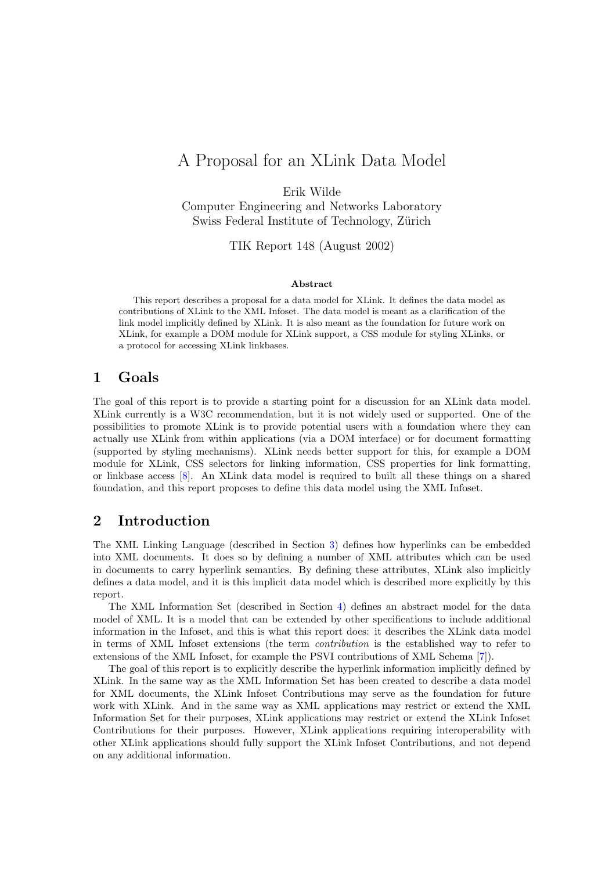# A Proposal for an XLink Data Model

Erik Wilde

Computer Engineering and Networks Laboratory Swiss Federal Institute of Technology, Zürich

TIK Report 148 (August 2002)

#### Abstract

This report describes a proposal for a data model for XLink. It defines the data model as contributions of XLink to the XML Infoset. The data model is meant as a clarification of the link model implicitly defined by XLink. It is also meant as the foundation for future work on XLink, for example a DOM module for XLink support, a CSS module for styling XLinks, or a protocol for accessing XLink linkbases.

### 1 Goals

The goal of this report is to provide a starting point for a discussion for an XLink data model. XLink currently is a W3C recommendation, but it is not widely used or supported. One of the possibilities to promote XLink is to provide potential users with a foundation where they can actually use XLink from within applications (via a DOM interface) or for document formatting (supported by styling mechanisms). XLink needs better support for this, for example a DOM module for XLink, CSS selectors for linking information, CSS properties for link formatting, or linkbase access [\[8\]](#page-5-0). An XLink data model is required to built all these things on a shared foundation, and this report proposes to define this data model using the XML Infoset.

### 2 Introduction

The XML Linking Language (described in Section [3\)](#page-1-0) defines how hyperlinks can be embedded into XML documents. It does so by defining a number of XML attributes which can be used in documents to carry hyperlink semantics. By defining these attributes, XLink also implicitly defines a data model, and it is this implicit data model which is described more explicitly by this report.

The XML Information Set (described in Section [4\)](#page-1-0) defines an abstract model for the data model of XML. It is a model that can be extended by other specifications to include additional information in the Infoset, and this is what this report does: it describes the XLink data model in terms of XML Infoset extensions (the term contribution is the established way to refer to extensions of the XML Infoset, for example the PSVI contributions of XML Schema [\[7\]](#page-5-0)).

The goal of this report is to explicitly describe the hyperlink information implicitly defined by XLink. In the same way as the XML Information Set has been created to describe a data model for XML documents, the XLink Infoset Contributions may serve as the foundation for future work with XLink. And in the same way as XML applications may restrict or extend the XML Information Set for their purposes, XLink applications may restrict or extend the XLink Infoset Contributions for their purposes. However, XLink applications requiring interoperability with other XLink applications should fully support the XLink Infoset Contributions, and not depend on any additional information.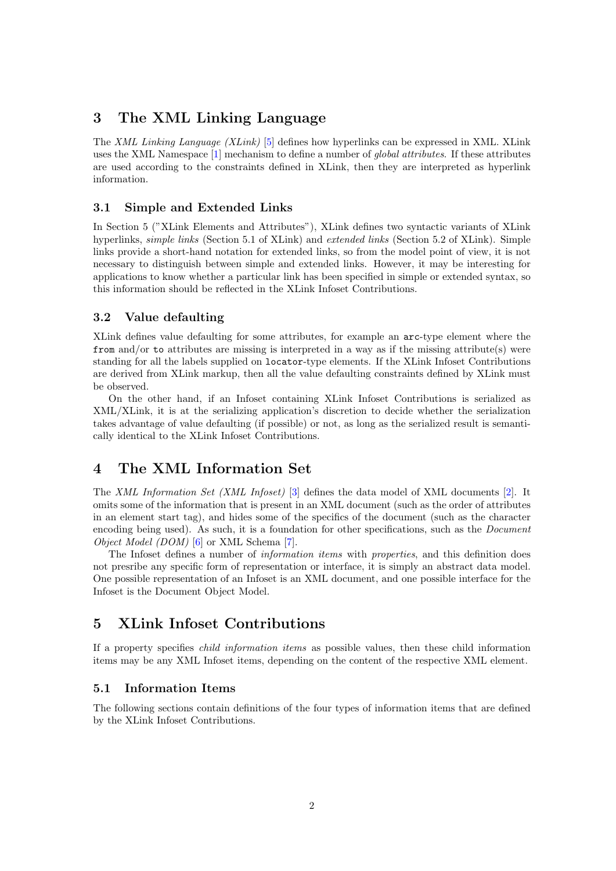# <span id="page-1-0"></span>3 The XML Linking Language

The XML Linking Language (XLink) [\[5\]](#page-5-0) defines how hyperlinks can be expressed in XML. XLink uses the XML Namespace [\[1\]](#page-5-0) mechanism to define a number of global attributes. If these attributes are used according to the constraints defined in XLink, then they are interpreted as hyperlink information.

### 3.1 Simple and Extended Links

In Section 5 ("XLink Elements and Attributes"), XLink defines two syntactic variants of XLink hyperlinks, *simple links* (Section 5.1 of XLink) and *extended links* (Section 5.2 of XLink). Simple links provide a short-hand notation for extended links, so from the model point of view, it is not necessary to distinguish between simple and extended links. However, it may be interesting for applications to know whether a particular link has been specified in simple or extended syntax, so this information should be reflected in the XLink Infoset Contributions.

### 3.2 Value defaulting

XLink defines value defaulting for some attributes, for example an arc-type element where the from and/or to attributes are missing is interpreted in a way as if the missing attribute(s) were standing for all the labels supplied on locator-type elements. If the XLink Infoset Contributions are derived from XLink markup, then all the value defaulting constraints defined by XLink must be observed.

On the other hand, if an Infoset containing XLink Infoset Contributions is serialized as XML/XLink, it is at the serializing application's discretion to decide whether the serialization takes advantage of value defaulting (if possible) or not, as long as the serialized result is semantically identical to the XLink Infoset Contributions.

# 4 The XML Information Set

The XML Information Set (XML Infoset) [\[3\]](#page-5-0) defines the data model of XML documents [\[2\]](#page-5-0). It omits some of the information that is present in an XML document (such as the order of attributes in an element start tag), and hides some of the specifics of the document (such as the character encoding being used). As such, it is a foundation for other specifications, such as the *Document* Object Model (DOM) [\[6\]](#page-5-0) or XML Schema [\[7\]](#page-5-0).

The Infoset defines a number of *information items* with *properties*, and this definition does not presribe any specific form of representation or interface, it is simply an abstract data model. One possible representation of an Infoset is an XML document, and one possible interface for the Infoset is the Document Object Model.

# 5 XLink Infoset Contributions

If a property specifies child information items as possible values, then these child information items may be any XML Infoset items, depending on the content of the respective XML element.

### 5.1 Information Items

The following sections contain definitions of the four types of information items that are defined by the XLink Infoset Contributions.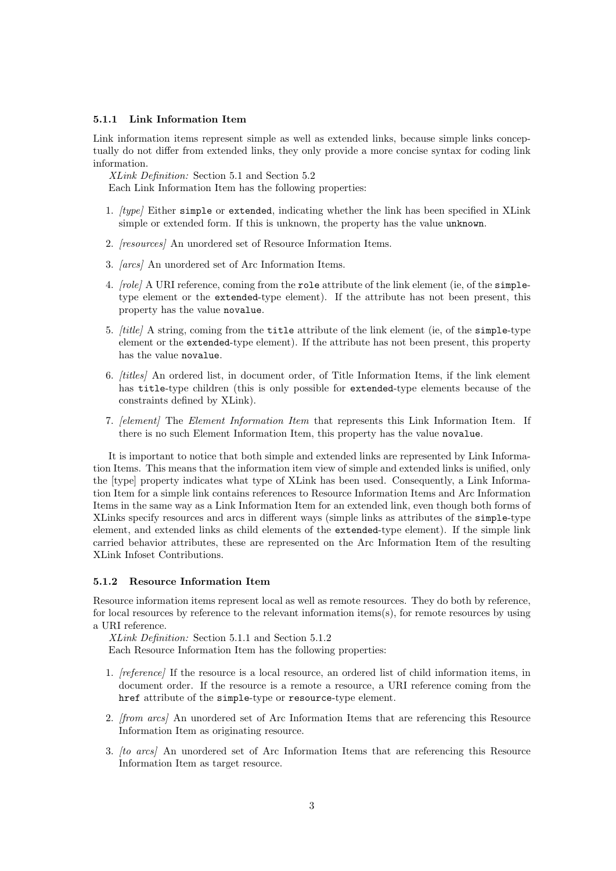### 5.1.1 Link Information Item

Link information items represent simple as well as extended links, because simple links conceptually do not differ from extended links, they only provide a more concise syntax for coding link information.

XLink Definition: Section 5.1 and Section 5.2 Each Link Information Item has the following properties:

- 1. [type] Either simple or extended, indicating whether the link has been specified in XLink simple or extended form. If this is unknown, the property has the value unknown.
- 2. [resources] An unordered set of Resource Information Items.
- 3. [arcs] An unordered set of Arc Information Items.
- 4. [role] A URI reference, coming from the role attribute of the link element (ie, of the simpletype element or the extended-type element). If the attribute has not been present, this property has the value novalue.
- 5. [title] A string, coming from the title attribute of the link element (ie, of the simple-type element or the extended-type element). If the attribute has not been present, this property has the value novalue.
- 6. [titles] An ordered list, in document order, of Title Information Items, if the link element has title-type children (this is only possible for extended-type elements because of the constraints defined by XLink).
- 7. [element] The Element Information Item that represents this Link Information Item. If there is no such Element Information Item, this property has the value novalue.

It is important to notice that both simple and extended links are represented by Link Information Items. This means that the information item view of simple and extended links is unified, only the [type] property indicates what type of XLink has been used. Consequently, a Link Information Item for a simple link contains references to Resource Information Items and Arc Information Items in the same way as a Link Information Item for an extended link, even though both forms of XLinks specify resources and arcs in different ways (simple links as attributes of the simple-type element, and extended links as child elements of the extended-type element). If the simple link carried behavior attributes, these are represented on the Arc Information Item of the resulting XLink Infoset Contributions.

#### 5.1.2 Resource Information Item

Resource information items represent local as well as remote resources. They do both by reference, for local resources by reference to the relevant information items(s), for remote resources by using a URI reference.

XLink Definition: Section 5.1.1 and Section 5.1.2

Each Resource Information Item has the following properties:

- 1. [reference] If the resource is a local resource, an ordered list of child information items, in document order. If the resource is a remote a resource, a URI reference coming from the href attribute of the simple-type or resource-type element.
- 2. [from arcs] An unordered set of Arc Information Items that are referencing this Resource Information Item as originating resource.
- 3. [to arcs] An unordered set of Arc Information Items that are referencing this Resource Information Item as target resource.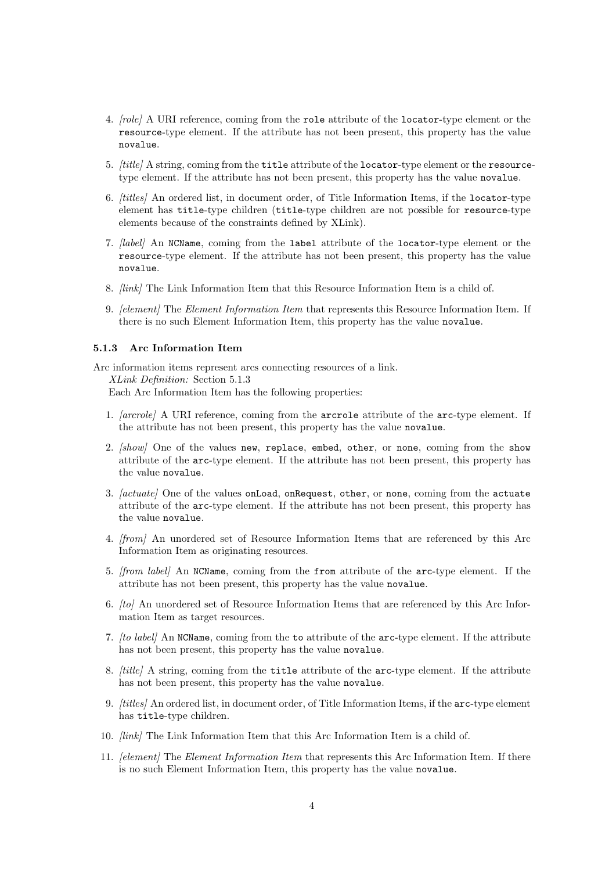- 4. [role] A URI reference, coming from the role attribute of the locator-type element or the resource-type element. If the attribute has not been present, this property has the value novalue.
- 5. *[title]* A string, coming from the **title** attribute of the locator-type element or the resourcetype element. If the attribute has not been present, this property has the value novalue.
- 6. [titles] An ordered list, in document order, of Title Information Items, if the locator-type element has title-type children (title-type children are not possible for resource-type elements because of the constraints defined by XLink).
- 7. [label] An NCName, coming from the label attribute of the locator-type element or the resource-type element. If the attribute has not been present, this property has the value novalue.
- 8. [link] The Link Information Item that this Resource Information Item is a child of.
- 9. *[element]* The *Element Information Item* that represents this Resource Information Item. If there is no such Element Information Item, this property has the value novalue.

#### 5.1.3 Arc Information Item

Arc information items represent arcs connecting resources of a link. XLink Definition: Section 5.1.3 Each Arc Information Item has the following properties:

- 1. [arcrole] A URI reference, coming from the arcrole attribute of the arc-type element. If the attribute has not been present, this property has the value novalue.
- 2. [show] One of the values new, replace, embed, other, or none, coming from the show attribute of the arc-type element. If the attribute has not been present, this property has the value novalue.
- 3. *[actuate]* One of the values onLoad, onRequest, other, or none, coming from the actuate attribute of the arc-type element. If the attribute has not been present, this property has the value novalue.
- 4. [from] An unordered set of Resource Information Items that are referenced by this Arc Information Item as originating resources.
- 5. [from label] An NCName, coming from the from attribute of the arc-type element. If the attribute has not been present, this property has the value novalue.
- 6. [to] An unordered set of Resource Information Items that are referenced by this Arc Information Item as target resources.
- 7. [to label] An NCName, coming from the to attribute of the arc-type element. If the attribute has not been present, this property has the value novalue.
- 8. *[title]* A string, coming from the **title** attribute of the arc-type element. If the attribute has not been present, this property has the value novalue.
- 9. [titles] An ordered list, in document order, of Title Information Items, if the arc-type element has title-type children.
- 10. [link] The Link Information Item that this Arc Information Item is a child of.
- 11. *[element]* The *Element Information Item* that represents this Arc Information Item. If there is no such Element Information Item, this property has the value novalue.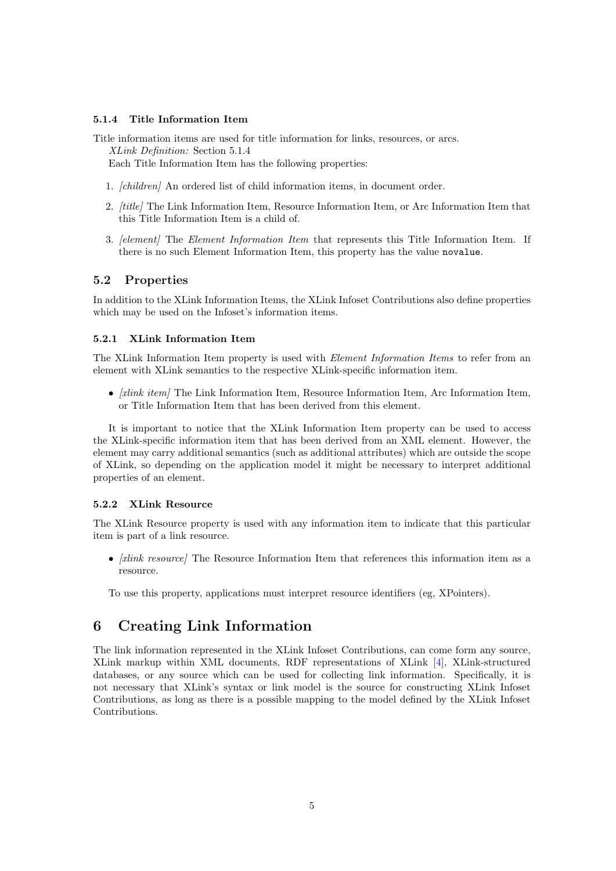### 5.1.4 Title Information Item

Title information items are used for title information for links, resources, or arcs. XLink Definition: Section 5.1.4 Each Title Information Item has the following properties:

- 1. [children] An ordered list of child information items, in document order.
- 2. [title] The Link Information Item, Resource Information Item, or Arc Information Item that this Title Information Item is a child of.
- 3. [element] The Element Information Item that represents this Title Information Item. If there is no such Element Information Item, this property has the value novalue.

### 5.2 Properties

In addition to the XLink Information Items, the XLink Infoset Contributions also define properties which may be used on the Infoset's information items.

#### 5.2.1 XLink Information Item

The XLink Information Item property is used with *Element Information Items* to refer from an element with XLink semantics to the respective XLink-specific information item.

•  $[xlink item]$  The Link Information Item, Resource Information Item, Arc Information Item, or Title Information Item that has been derived from this element.

It is important to notice that the XLink Information Item property can be used to access the XLink-specific information item that has been derived from an XML element. However, the element may carry additional semantics (such as additional attributes) which are outside the scope of XLink, so depending on the application model it might be necessary to interpret additional properties of an element.

#### 5.2.2 XLink Resource

The XLink Resource property is used with any information item to indicate that this particular item is part of a link resource.

•  $\alpha$  /xlink resource The Resource Information Item that references this information item as a resource.

To use this property, applications must interpret resource identifiers (eg, XPointers).

# 6 Creating Link Information

The link information represented in the XLink Infoset Contributions, can come form any source, XLink markup within XML documents, RDF representations of XLink [\[4\]](#page-5-0), XLink-structured databases, or any source which can be used for collecting link information. Specifically, it is not necessary that XLink's syntax or link model is the source for constructing XLink Infoset Contributions, as long as there is a possible mapping to the model defined by the XLink Infoset Contributions.